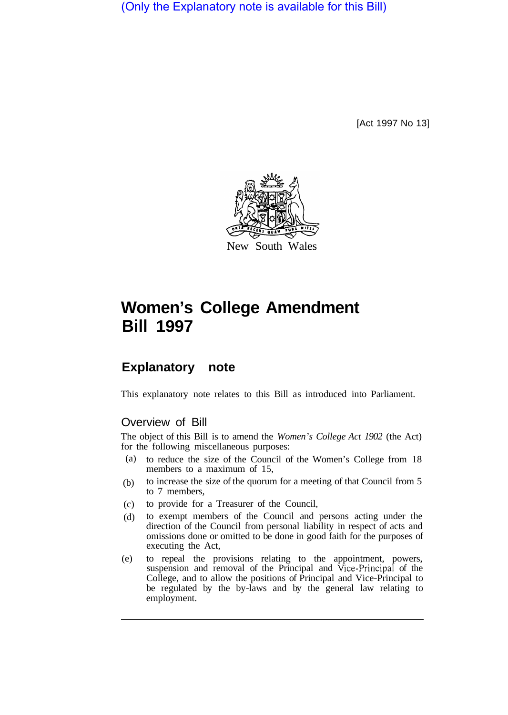(Only the Explanatory note is available for this Bill)

[Act 1997 No 13]



## **Women's College Amendment Bill 1997**

## **Explanatory note**

This explanatory note relates to this Bill as introduced into Parliament.

## Overview of Bill

The object of this Bill is to amend the *Women's College Act 1902* (the Act) for the following miscellaneous purposes:

- to reduce the size of the Council of the Women's College from 18 members to a maximum of 15, (a)
- to increase the size of the quorum for a meeting of that Council from 5 to 7 members, (b)
- to provide for a Treasurer of the Council, (c)
- to exempt members of the Council and persons acting under the direction of the Council from personal liability in respect of acts and omissions done or omitted to be done in good faith for the purposes of executing the Act, (d)
- to repeal the provisions relating to the appointment, powers, suspension and removal of the Principal and Vice-principal of the College, and to allow the positions of Principal and Vice-Principal to be regulated by the by-laws and by the general law relating to employment. (e)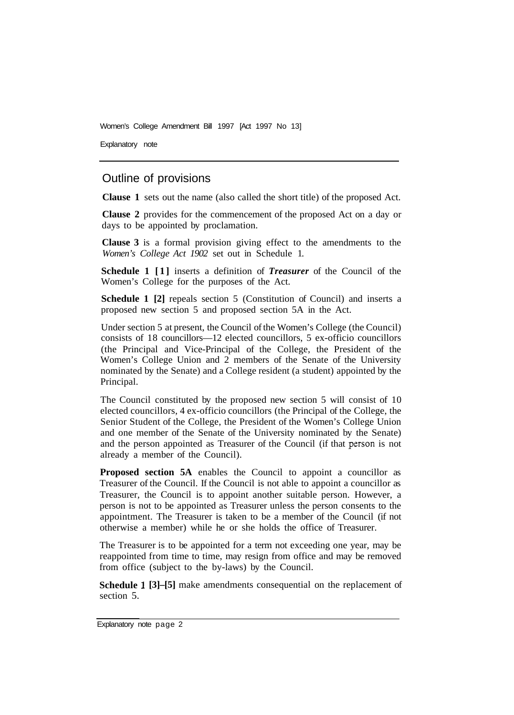Women's College Amendment Bill 1997 [Act 1997 No 13]

Explanatory note

## Outline of provisions

**Clause 1** sets out the name (also called the short title) of the proposed Act.

**Clause 2** provides for the commencement of the proposed Act on a day or days to be appointed by proclamation.

**Clause 3** is a formal provision giving effect to the amendments to the *Women's College Act 1902* set out in Schedule 1.

**Schedule 1 [1]** inserts a definition of *Treasurer* of the Council of the Women's College for the purposes of the Act.

**Schedule 1 [2]** repeals section 5 (Constitution of Council) and inserts a proposed new section 5 and proposed section 5A in the Act.

Under section 5 at present, the Council of the Women's College (the Council) consists of 18 councillors—12 elected councillors, 5 ex-officio councillors (the Principal and Vice-Principal of the College, the President of the Women's College Union and 2 members of the Senate of the University nominated by the Senate) and a College resident (a student) appointed by the Principal.

The Council constituted by the proposed new section 5 will consist of 10 elected councillors, 4 ex-officio councillors (the Principal of the College, the Senior Student of the College, the President of the Women's College Union and one member of the Senate of the University nominated by the Senate) and the person appointed as Treasurer of the Council (if that person is not already a member of the Council).

**Proposed section 5A** enables the Council to appoint a councillor as Treasurer of the Council. If the Council is not able to appoint a councillor as Treasurer, the Council is to appoint another suitable person. However, a person is not to be appointed as Treasurer unless the person consents to the appointment. The Treasurer is taken to be a member of the Council (if not otherwise a member) while he or she holds the office of Treasurer.

The Treasurer is to be appointed for a term not exceeding one year, may be reappointed from time to time, may resign from office and may be removed from office (subject to the by-laws) by the Council.

**Schedule l [3]–[5]** make amendments consequential on the replacement of section 5.